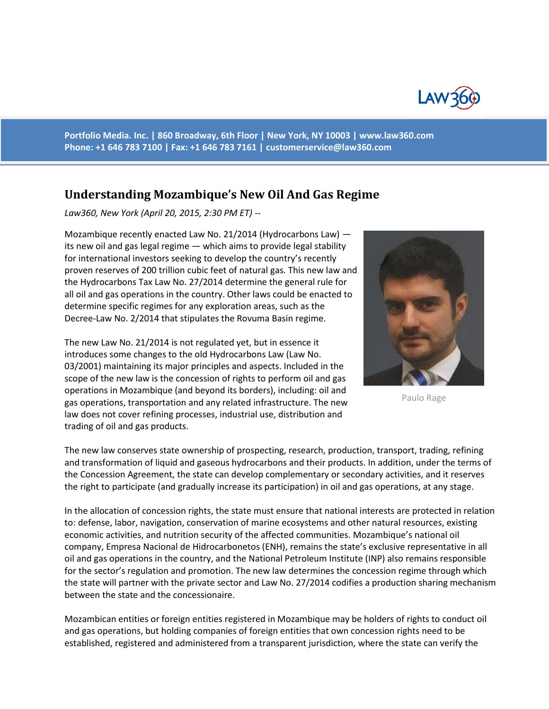

**Portfolio Media. Inc. | 860 Broadway, 6th Floor | New York, NY 10003 | www.law360.com Phone: +1 646 783 7100 | Fax: +1 646 783 7161 | [customerservice@law360.com](mailto:customerservice@law360.com)**

## **Understanding Mozambique's New Oil And Gas Regime**

*Law360, New York (April 20, 2015, 2:30 PM ET) --*

Mozambique recently enacted Law No. 21/2014 (Hydrocarbons Law) its new oil and gas legal regime — which aims to provide legal stability for international investors seeking to develop the country's recently proven reserves of 200 trillion cubic feet of natural gas. This new law and the Hydrocarbons Tax Law No. 27/2014 determine the general rule for all oil and gas operations in the country. Other laws could be enacted to determine specific regimes for any exploration areas, such as the Decree-Law No. 2/2014 that stipulates the Rovuma Basin regime.

The new Law No. 21/2014 is not regulated yet, but in essence it introduces some changes to the old Hydrocarbons Law (Law No. 03/2001) maintaining its major principles and aspects. Included in the scope of the new law is the concession of rights to perform oil and gas operations in Mozambique (and beyond its borders), including: oil and gas operations, transportation and any related infrastructure. The new law does not cover refining processes, industrial use, distribution and trading of oil and gas products.



Paulo Rage

The new law conserves state ownership of prospecting, research, production, transport, trading, refining and transformation of liquid and gaseous hydrocarbons and their products. In addition, under the terms of the Concession Agreement, the state can develop complementary or secondary activities, and it reserves the right to participate (and gradually increase its participation) in oil and gas operations, at any stage.

In the allocation of concession rights, the state must ensure that national interests are protected in relation to: defense, labor, navigation, conservation of marine ecosystems and other natural resources, existing economic activities, and nutrition security of the affected communities. Mozambique's national oil company, Empresa Nacional de Hidrocarbonetos (ENH), remains the state's exclusive representative in all oil and gas operations in the country, and the National Petroleum Institute (INP) also remains responsible for the sector's regulation and promotion. The new law determines the concession regime through which the state will partner with the private sector and Law No. 27/2014 codifies a production sharing mechanism between the state and the concessionaire.

Mozambican entities or foreign entities registered in Mozambique may be holders of rights to conduct oil and gas operations, but holding companies of foreign entities that own concession rights need to be established, registered and administered from a transparent jurisdiction, where the state can verify the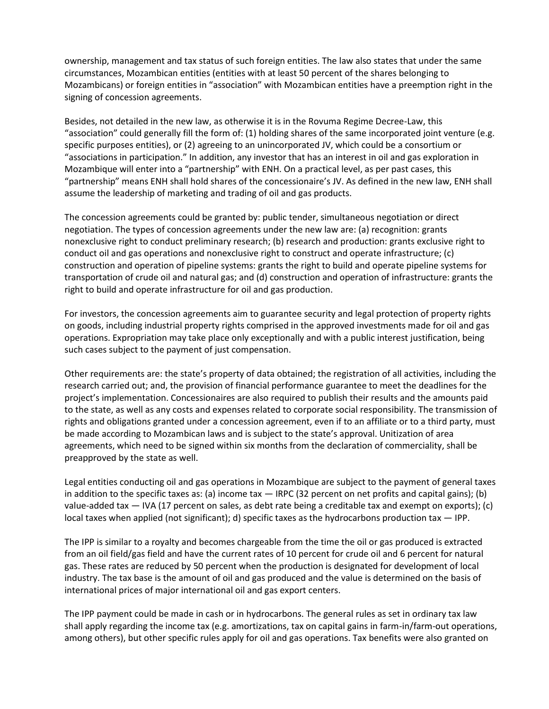ownership, management and tax status of such foreign entities. The law also states that under the same circumstances, Mozambican entities (entities with at least 50 percent of the shares belonging to Mozambicans) or foreign entities in "association" with Mozambican entities have a preemption right in the signing of concession agreements.

Besides, not detailed in the new law, as otherwise it is in the Rovuma Regime Decree-Law, this "association" could generally fill the form of: (1) holding shares of the same incorporated joint venture (e.g. specific purposes entities), or (2) agreeing to an unincorporated JV, which could be a consortium or "associations in participation." In addition, any investor that has an interest in oil and gas exploration in Mozambique will enter into a "partnership" with ENH. On a practical level, as per past cases, this "partnership" means ENH shall hold shares of the concessionaire's JV. As defined in the new law, ENH shall assume the leadership of marketing and trading of oil and gas products.

The concession agreements could be granted by: public tender, simultaneous negotiation or direct negotiation. The types of concession agreements under the new law are: (a) recognition: grants nonexclusive right to conduct preliminary research; (b) research and production: grants exclusive right to conduct oil and gas operations and nonexclusive right to construct and operate infrastructure; (c) construction and operation of pipeline systems: grants the right to build and operate pipeline systems for transportation of crude oil and natural gas; and (d) construction and operation of infrastructure: grants the right to build and operate infrastructure for oil and gas production.

For investors, the concession agreements aim to guarantee security and legal protection of property rights on goods, including industrial property rights comprised in the approved investments made for oil and gas operations. Expropriation may take place only exceptionally and with a public interest justification, being such cases subject to the payment of just compensation.

Other requirements are: the state's property of data obtained; the registration of all activities, including the research carried out; and, the provision of financial performance guarantee to meet the deadlines for the project's implementation. Concessionaires are also required to publish their results and the amounts paid to the state, as well as any costs and expenses related to corporate social responsibility. The transmission of rights and obligations granted under a concession agreement, even if to an affiliate or to a third party, must be made according to Mozambican laws and is subject to the state's approval. Unitization of area agreements, which need to be signed within six months from the declaration of commerciality, shall be preapproved by the state as well.

Legal entities conducting oil and gas operations in Mozambique are subject to the payment of general taxes in addition to the specific taxes as: (a) income tax — IRPC (32 percent on net profits and capital gains); (b) value-added tax — IVA (17 percent on sales, as debt rate being a creditable tax and exempt on exports); (c) local taxes when applied (not significant); d) specific taxes as the hydrocarbons production tax — IPP.

The IPP is similar to a royalty and becomes chargeable from the time the oil or gas produced is extracted from an oil field/gas field and have the current rates of 10 percent for crude oil and 6 percent for natural gas. These rates are reduced by 50 percent when the production is designated for development of local industry. The tax base is the amount of oil and gas produced and the value is determined on the basis of international prices of major international oil and gas export centers.

The IPP payment could be made in cash or in hydrocarbons. The general rules as set in ordinary tax law shall apply regarding the income tax (e.g. amortizations, tax on capital gains in farm-in/farm-out operations, among others), but other specific rules apply for oil and gas operations. Tax benefits were also granted on